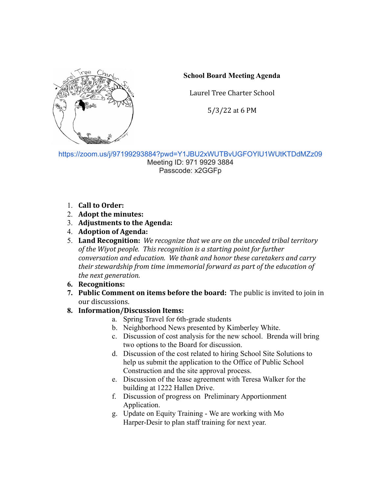

## **School Board Meeting Agenda**

Laurel Tree Charter School

5/3/22 at 6 PM

<https://zoom.us/j/97199293884?pwd=Y1JBU2xWUTBvUGFOYlU1WUtKTDdMZz09> Meeting ID: 971 9929 3884 Passcode: x2GGFp

- 1. **Call to Order:**
- 2. **Adopt the minutes:**
- 3. **Adjustments to the Agenda:**
- 4. **Adoption of Agenda:**
- 5. **Land Recognition:** *We recognize that we are on the unceded tribal territory of the Wiyot people. This recognition is a starting point for further conversation and education. We thank and honor these caretakers and carry their stewardship from time immemorial forward as part of the education of the next generation.*

## **6. Recognitions:**

**7. Public Comment on items before the board:** The public is invited to join in our discussions.

## **8. Information/Discussion Items:**

- a. Spring Travel for 6th-grade students
- b. Neighborhood News presented by Kimberley White.
- c. Discussion of cost analysis for the new school. Brenda will bring two options to the Board for discussion.
- d. Discussion of the cost related to hiring School Site Solutions to help us submit the application to the Office of Public School Construction and the site approval process.
- e. Discussion of the lease agreement with Teresa Walker for the building at 1222 Hallen Drive.
- f. Discussion of progress on Preliminary Apportionment Application.
- g. Update on Equity Training We are working with Mo Harper-Desir to plan staff training for next year.